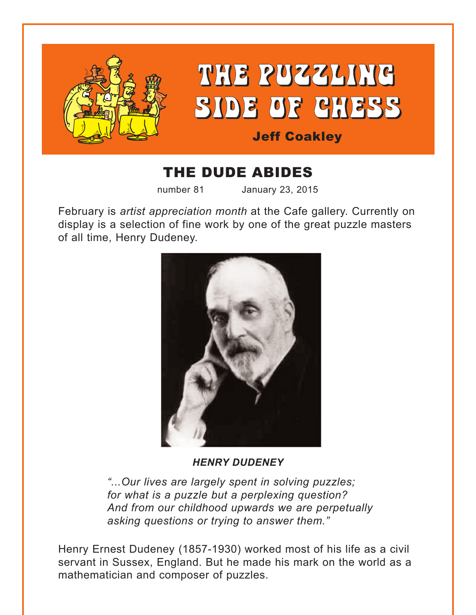

# THE DUDE ABIDES

number 81 January 23, 2015

February is *artist appreciation month* at the Cafe gallery. Currently on display is a selection of fine work by one of the great puzzle masters of all time, Henry Dudeney.



#### *HENRY DUDENEY*

*"...Our lives are largely spent in solving puzzles; for what is a puzzle but a perplexing question? And from our childhood upwards we are perpetually asking questions or trying to answer them."*

Henry Ernest Dudeney (1857-1930) worked most of his life as a civil servant in Sussex, England. But he made his mark on the world as a mathematician and composer of puzzles.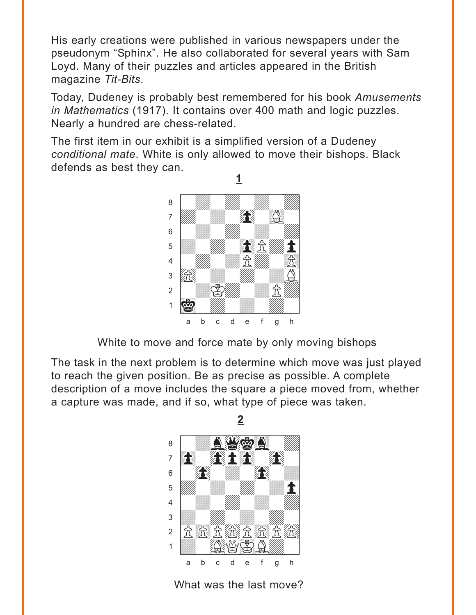<span id="page-1-0"></span>His early creations were published in various newspapers under the pseudonym "Sphinx". He also collaborated for several years with Sam Loyd. Many of their puzzles and articles appeared in the British magazine *Tit-Bits*.

Today, Dudeney is probably best remembered for his book *Amusements in Mathematics* (1917). It contains over 400 math and logic puzzles. Nearly a hundred are chess-related.

The first item in our exhibit is a simplified version of a Dudeney *conditional mate*. White is only allowed to move their bishops. Black defends as best they can.



White to move and force mate by only moving bishops

The task in the next problem is to determine which move was just played to reach the given position. Be as precise as possible. A complete description of a move includes the square a piece moved from, whether a capture was made, and if so, what type of piece was taken.



What was the last move?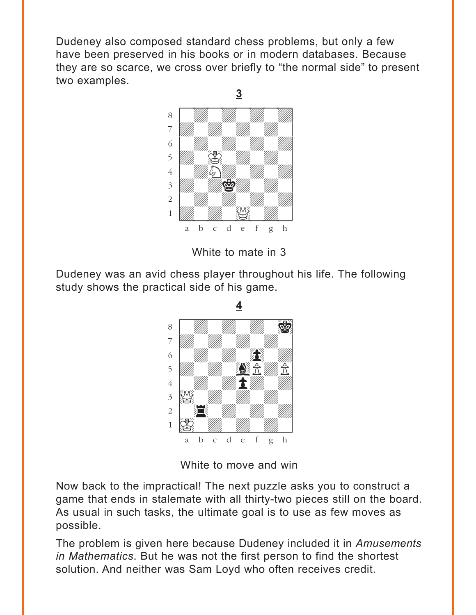<span id="page-2-0"></span>Dudeney also composed standard chess problems, but only a few have been preserved in his books or in modern databases. Because they are so scarce, we cross over briefly to "the normal side" to present two examples.





Dudeney was an avid chess player throughout his life. The following study shows the practical side of his game.



**4**

White to move and win

Now back to the impractical! The next puzzle asks you to construct a game that ends in stalemate with all thirty-two pieces still on the board. As usual in such tasks, the ultimate goal is to use as few moves as possible.

The problem is given here because Dudeney included it in *Amusements in Mathematics*. But he was not the first person to find the shortest solution. And neither was Sam Loyd who often receives credit.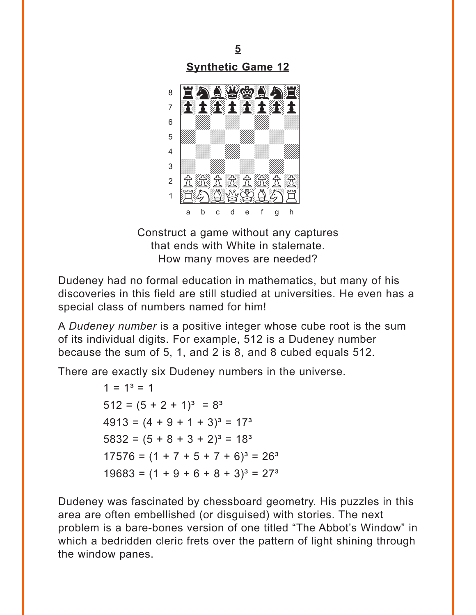<span id="page-3-0"></span>

Construct a game without any captures that ends with White in stalemate. How many moves are needed?

Dudeney had no formal education in mathematics, but many of his discoveries in this field are still studied at universities. He even has a special class of numbers named for him!

A Dudeney number is a positive integer whose cube root is the sum of its individual digits. For example, 512 is a Dudeney number because the sum of 5, 1, and 2 is 8, and 8 cubed equals 512.

There are exactly six Dudeney numbers in the universe.

 $1 = 1<sup>3</sup> = 1$  $512 = (5 + 2 + 1)^3 = 8^3$  $4913 = (4 + 9 + 1 + 3)^3 = 17^3$  $5832 = (5 + 8 + 3 + 2)^3 = 18^3$  $17576 = (1 + 7 + 5 + 7 + 6)^3 = 26^3$  $19683 = (1 + 9 + 6 + 8 + 3)^3 = 27^3$ 

Dudeney was fascinated by chessboard geometry. His puzzles in this area are often embellished (or disguised) with stories. The next problem is a bare-bones version of one titled "The Abbot's Window" in which a bedridden cleric frets over the pattern of light shining through the window panes.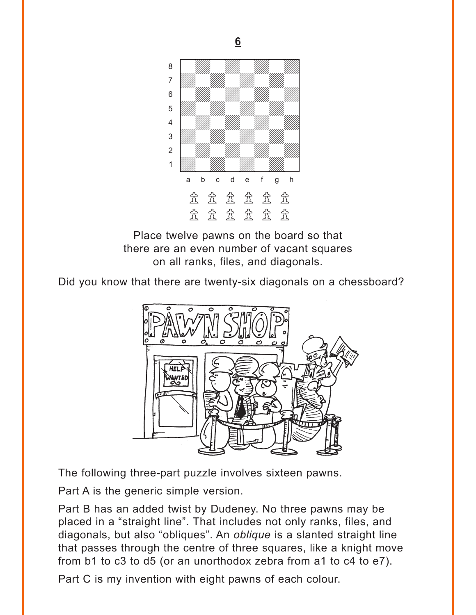<span id="page-4-0"></span>

**6**

Place twelve pawns on the board so that there are an even number of vacant squares on all ranks, files, and diagonals.

Did you know that there are twenty-six diagonals on a chessboard?



The following three-part puzzle involves sixteen pawns.

Part A is the generic simple version.

Part B has an added twist by Dudeney. No three pawns may be placed in a "straight line". That includes not only ranks, files, and diagonals, but also "obliques". An *oblique* is a slanted straight line that passes through the centre of three squares, like a knight move from b1 to c3 to d5 (or an unorthodox zebra from a1 to c4 to e7).

Part C is my invention with eight pawns of each colour.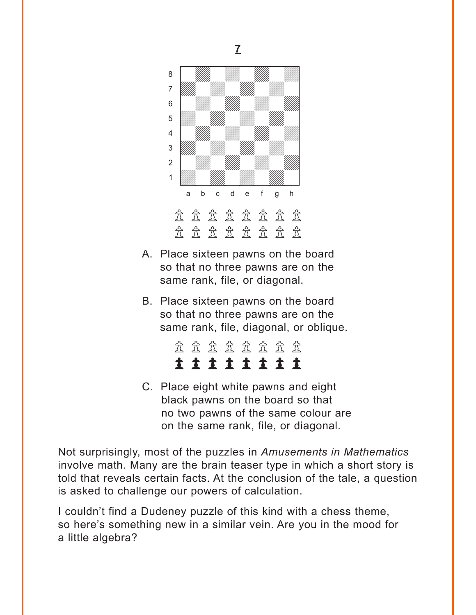<span id="page-5-0"></span>

- A. Place sixteen pawns on the board so that no three pawns are on the same rank, file, or diagonal.
- B. Place sixteen pawns on the board so that no three pawns are on the same rank, file, diagonal, or oblique.

|  |  | 11111111 |  |  |
|--|--|----------|--|--|
|  |  | 立立立立立立立立 |  |  |

C. Place eight white pawns and eight black pawns on the board so that no two pawns of the same colour are on the same rank, file, or diagonal.

Not surprisingly, most of the puzzles in *Amusements in Mathematics* involve math. Many are the brain teaser type in which a short story is told that reveals certain facts. At the conclusion of the tale, a question is asked to challenge our powers of calculation.

I couldn't find a Dudeney puzzle of this kind with a chess theme, so here's something new in a similar vein. Are you in the mood for a little algebra?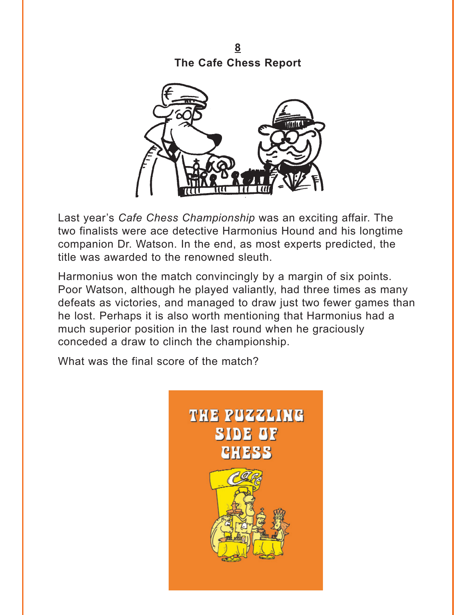<span id="page-6-0"></span>**8 [The Cafe Chess Report](#page-18-0)**



Last year's *Cafe Chess Championship* was an exciting affair. The two finalists were ace detective Harmonius Hound and his longtime companion Dr. Watson. In the end, as most experts predicted, the title was awarded to the renowned sleuth.

Harmonius won the match convincingly by a margin of six points. Poor Watson, although he played valiantly, had three times as many defeats as victories, and managed to draw just two fewer games than he lost. Perhaps it is also worth mentioning that Harmonius had a much superior position in the last round when he graciously conceded a draw to clinch the championship.

What was the final score of the match?

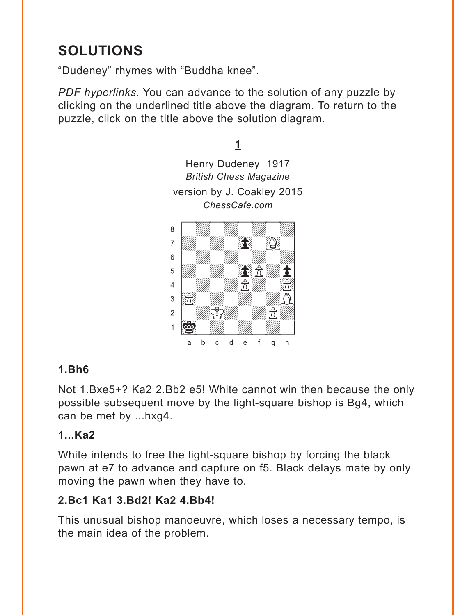# <span id="page-7-0"></span>**SOLUTIONS**

"Dudeney" rhymes with "Buddha knee".

PDF hyperlinks. You can advance to the solution of any puzzle by clicking on the underlined title above the diagram. To return to the puzzle, click on the title above the solution diagram.



#### **1.Bh6**

Not 1.Bxe5+? Ka2 2.Bb2 e5! White cannot win then because the only possible subsequent move by the light-square bishop is Bg4, which can be met by ...hxg4.

#### $1...$ Ka $2$

White intends to free the light-square bishop by forcing the black pawn at e7 to advance and capture on f5. Black delays mate by only moving the pawn when they have to.

# 2.Bc1 Ka1 3.Bd2! Ka2 4.Bb4!

This unusual bishop manoeuvre, which loses a necessary tempo, is the main idea of the problem.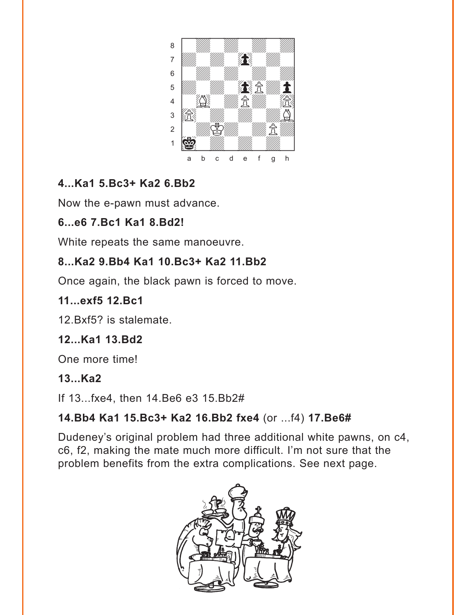

# 4...Ka1 5.Bc3+ Ka2 6.Bb2

Now the e-pawn must advance.

#### 6...e6 7.Bc1 Ka1 8.Bd2!

White repeats the same manoeuvre.

#### 8...Ka2 9.Bb4 Ka1 10.Bc3+ Ka2 11.Bb2

Once again, the black pawn is forced to move.

#### 11...exf5 12.Bc1

12. Bxf5? is stalemate.

# 12...Ka1 13.Bd2

One more time!

#### $13...$ Ka2

If 13... fxe4, then 14. Be6 e3 15. Bb2#

# 14. Bb4 Ka1 15. Bc3+ Ka2 16. Bb2 fxe4 (or ... f4) 17. Be6#

Dudeney's original problem had three additional white pawns, on c4, c6, f2, making the mate much more difficult. I'm not sure that the problem benefits from the extra complications. See next page.

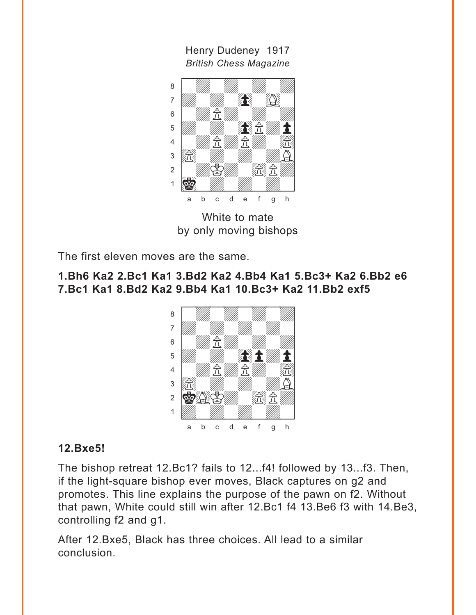Henry Dudeney 1917 *British Chess Magazine*



White to mate by only moving bishops

The first eleven moves are the same.

#### **1.Bh6 Ka2 2.Bc1 Ka1 3.Bd2 Ka2 4.Bb4 Ka1 5.Bc3+ Ka2 6.Bb2 e6 7.Bc1 Ka1 8.Bd2 Ka2 9.Bb4 Ka1 10.Bc3+ Ka2 11.Bb2 exf5**



#### **12.Bxe5!**

The bishop retreat 12.Bc1? fails to 12...f4! followed by 13...f3. Then, if the light-square bishop ever moves, Black captures on g2 and promotes. This line explains the purpose of the pawn on f2. Without that pawn, White could still win after 12.Bc1 f4 13.Be6 f3 with 14.Be3, controlling f2 and g1.

After 12.Bxe5, Black has three choices. All lead to a similar conclusion.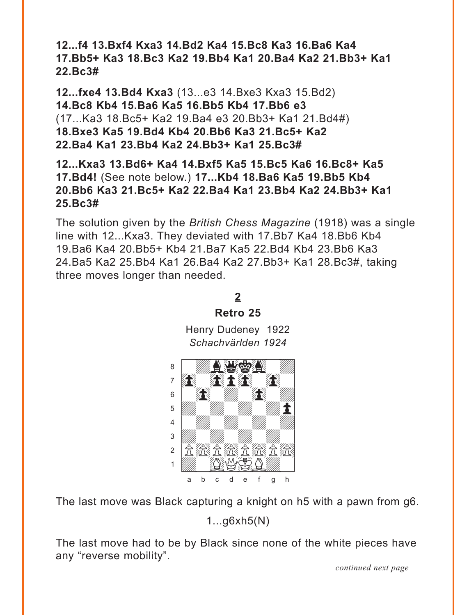<span id="page-10-0"></span>**12...f4 13.Bxf4 Kxa3 14.Bd2 Ka4 15.Bc8 Ka3 16.Ba6 Ka4 17.Bb5+ Ka3 18.Bc3 Ka2 19.Bb4 Ka1 20.Ba4 Ka2 21.Bb3+ Ka1 22.Bc3#**

**12...fxe4 13.Bd4 Kxa3** (13...e3 14.Bxe3 Kxa3 15.Bd2) **14.Bc8 Kb4 15.Ba6 Ka5 16.Bb5 Kb4 17.Bb6 e3**  (17...Ka3 18.Bc5+ Ka2 19.Ba4 e3 20.Bb3+ Ka1 21.Bd4#) **18.Bxe3 Ka5 19.Bd4 Kb4 20.Bb6 Ka3 21.Bc5+ Ka2 22.Ba4 Ka1 23.Bb4 Ka2 24.Bb3+ Ka1 25.Bc3#** 

**12...Kxa3 13.Bd6+ Ka4 14.Bxf5 Ka5 15.Bc5 Ka6 16.Bc8+ Ka5 17.Bd4!** (See note below.) **17...Kb4 18.Ba6 Ka5 19.Bb5 Kb4 20.Bb6 Ka3 21.Bc5+ Ka2 22.Ba4 Ka1 23.Bb4 Ka2 24.Bb3+ Ka1 25.Bc3#**

The solution given by the *British Chess Magazine* (1918) was a single line with 12...Kxa3. They deviated with 17.Bb7 Ka4 18.Bb6 Kb4 19.Ba6 Ka4 20.Bb5+ Kb4 21.Ba7 Ka5 22.Bd4 Kb4 23.Bb6 Ka3 24.Ba5 Ka2 25.Bb4 Ka1 26.Ba4 Ka2 27.Bb3+ Ka1 28.Bc3#, taking three moves longer than needed.

**2**

# **[Retro 25](#page-1-0)** Henry Dudeney 1922 *Schachvärlden 1924*  $\frac{1}{2}$ <u>a wang k</u>awa



The last move was Black capturing a knight on h5 with a pawn from g6.

1...g6xh5(N)

The last move had to be by Black since none of the white pieces have any "reverse mobility".

*continued next page*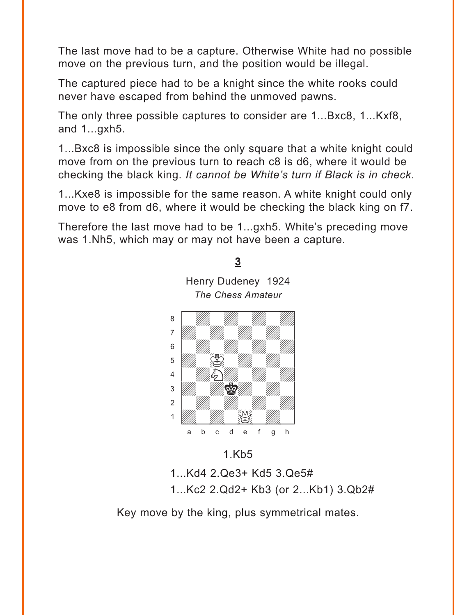<span id="page-11-0"></span>The last move had to be a capture. Otherwise White had no possible move on the previous turn, and the position would be illegal.

The captured piece had to be a knight since the white rooks could never have escaped from behind the unmoved pawns.

The only three possible captures to consider are 1...Bxc8, 1...Kxf8, and 1...gxh5.

1...Bxc8 is impossible since the only square that a white knight could move from on the previous turn to reach c8 is d6, where it would be checking the black king. *It cannot be White's turn if Black is in check*.

1...Kxe8 is impossible for the same reason. A white knight could only move to e8 from d6, where it would be checking the black king on f7.

Therefore the last move had to be 1...gxh5. White's preceding move was 1.Nh5, which may or may not have been a capture.

**[3](#page-2-0)**

Henry Dudeney 1924 *The Chess Amateur*



1.Kb5

1...Kd4 2.Qe3+ Kd5 3.Qe5# 1...Kc2 2.Qd2+ Kb3 (or 2...Kb1) 3.Qb2#

Key move by the king, plus symmetrical mates.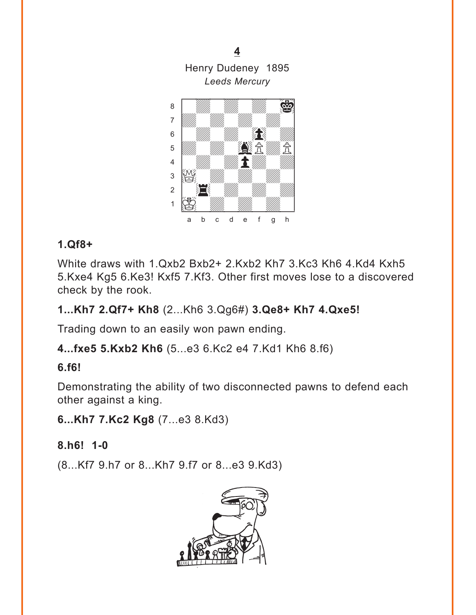**[4](#page-2-0)** Henry Dudeney 1895 *Leeds Mercury*

<span id="page-12-0"></span>

# **1.Qf8+**

White draws with 1.Qxb2 Bxb2+ 2.Kxb2 Kh7 3.Kc3 Kh6 4.Kd4 Kxh5 5.Kxe4 Kg5 6.Ke3! Kxf5 7.Kf3. Other first moves lose to a discovered check by the rook.

# **1...Kh7 2.Qf7+ Kh8** (2...Kh6 3.Qg6#) **3.Qe8+ Kh7 4.Qxe5!**

Trading down to an easily won pawn ending.

**4...fxe5 5.Kxb2 Kh6** (5...e3 6.Kc2 e4 7.Kd1 Kh6 8.f6)

#### **6.f6!**

Demonstrating the ability of two disconnected pawns to defend each other against a king.

**6...Kh7 7.Kc2 Kg8** (7...e3 8.Kd3)

# **8.h6! 1-0**

(8...Kf7 9.h7 or 8...Kh7 9.f7 or 8...e3 9.Kd3)

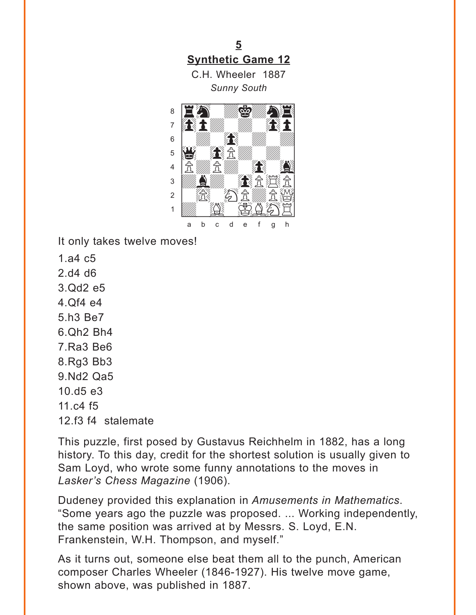<span id="page-13-0"></span>5 **Synthetic Game 12** 

C.H. Wheeler 1887 **Sunny South** 



It only takes twelve moves!

- $1.a4 c5$
- $2$  d<sub>4</sub> d<sub>6</sub>
- 3.0d2 e5
- $4.0f4$  e4
- 5.h3 Be7
- 6.Qh<sub>2</sub> Bh<sub>4</sub>
- 7.Ra3 Be<sub>6</sub>
- 8.Rg3 Bb3
- 9.Nd2 Qa5
- $10.05e3$
- 11. $c4f5$
- 12.f3 f4 stalemate

This puzzle, first posed by Gustavus Reichhelm in 1882, has a long history. To this day, credit for the shortest solution is usually given to Sam Loyd, who wrote some funny annotations to the moves in Lasker's Chess Magazine (1906).

Dudeney provided this explanation in Amusements in Mathematics. "Some years ago the puzzle was proposed. ... Working independently, the same position was arrived at by Messrs. S. Loyd, E.N. Frankenstein, W.H. Thompson, and myself."

As it turns out, someone else beat them all to the punch, American composer Charles Wheeler (1846-1927). His twelve move game, shown above, was published in 1887.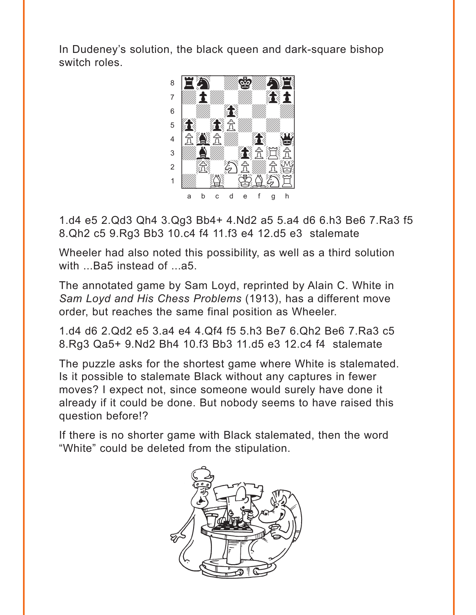In Dudeney's solution, the black queen and dark-square bishop switch roles.



1.d4 e5 2.Qd3 Qh4 3.Qg3 Bb4+ 4.Nd2 a5 5.a4 d6 6.h3 Be6 7.Ra3 f5 8.Qh2 c5 9.Rg3 Bb3 10.c4 f4 11.f3 e4 12.d5 e3 stalemate

Wheeler had also noted this possibility, as well as a third solution with ...Ba5 instead of ...a5.

The annotated game by Sam Loyd, reprinted by Alain C. White in *Sam Loyd and His Chess Problems* (1913), has a different move order, but reaches the same final position as Wheeler.

1.d4 d6 2.Qd2 e5 3.a4 e4 4.Qf4 f5 5.h3 Be7 6.Qh2 Be6 7.Ra3 c5 8.Rg3 Qa5+ 9.Nd2 Bh4 10.f3 Bb3 11.d5 e3 12.c4 f4 stalemate

The puzzle asks for the shortest game where White is stalemated. Is it possible to stalemate Black without any captures in fewer moves? I expect not, since someone would surely have done it already if it could be done. But nobody seems to have raised this question before!?

If there is no shorter game with Black stalemated, then the word "White" could be deleted from the stipulation.

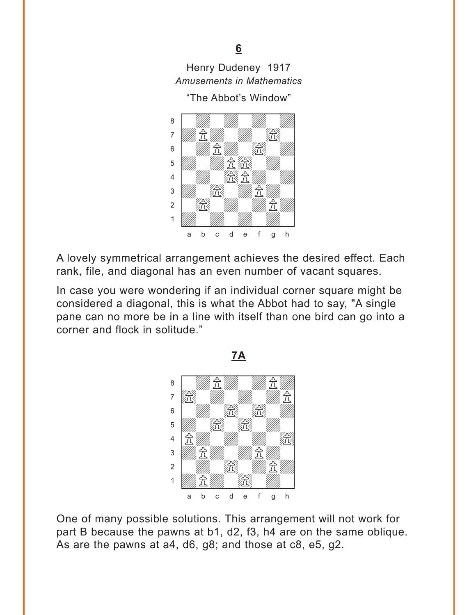# <span id="page-15-0"></span>Henry Dudeney 1917 *Amusements in Mathematics*

#### "The Abbot's Window"



A lovely symmetrical arrangement achieves the desired effect. Each rank, file, and diagonal has an even number of vacant squares.

In case you were wondering if an individual corner square might be considered a diagonal, this is what the Abbot had to say, "A single pane can no more be in a line with itself than one bird can go into a corner and flock in solitude."



One of many possible solutions. This arrangement will not work for part B because the pawns at b1, d2, f3, h4 are on the same oblique. As are the pawns at a4, d6, g8; and those at c8, e5, g2.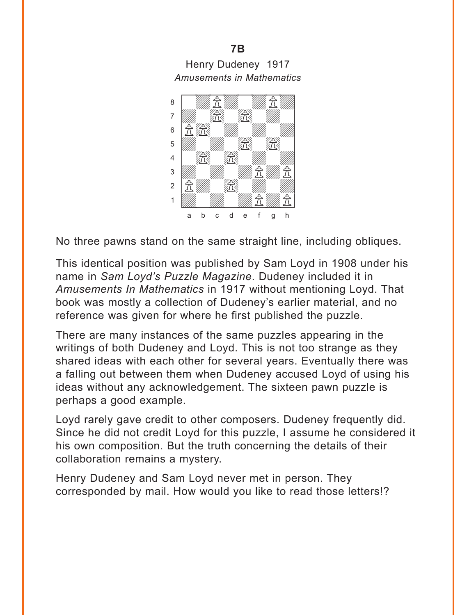Henry Dudeney 1917 *Amusements in Mathematics*

**[7B](#page-5-0)**



No three pawns stand on the same straight line, including obliques.

This identical position was published by Sam Loyd in 1908 under his name in *Sam Loyd's Puzzle Magazine*. Dudeney included it in *Amusements In Mathematics* in 1917 without mentioning Loyd. That book was mostly a collection of Dudeney's earlier material, and no reference was given for where he first published the puzzle.

There are many instances of the same puzzles appearing in the writings of both Dudeney and Loyd. This is not too strange as they shared ideas with each other for several years. Eventually there was a falling out between them when Dudeney accused Loyd of using his ideas without any acknowledgement. The sixteen pawn puzzle is perhaps a good example.

Loyd rarely gave credit to other composers. Dudeney frequently did. Since he did not credit Loyd for this puzzle, I assume he considered it his own composition. But the truth concerning the details of their collaboration remains a mystery.

Henry Dudeney and Sam Loyd never met in person. They corresponded by mail. How would you like to read those letters!?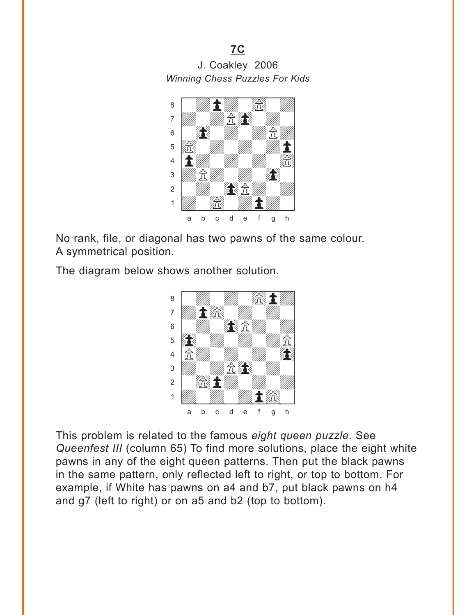J. Coakley 2006 **Winning Chess Puzzles For Kids** 

 $7C$ 



No rank, file, or diagonal has two pawns of the same colour. A symmetrical position.

The diagram below shows another solution.



This problem is related to the famous eight queen puzzle. See Queenfest III (column 65) To find more solutions, place the eight white pawns in any of the eight queen patterns. Then put the black pawns in the same pattern, only reflected left to right, or top to bottom. For example, if White has pawns on a4 and b7, put black pawns on h4 and g7 (left to right) or on a5 and b2 (top to bottom).